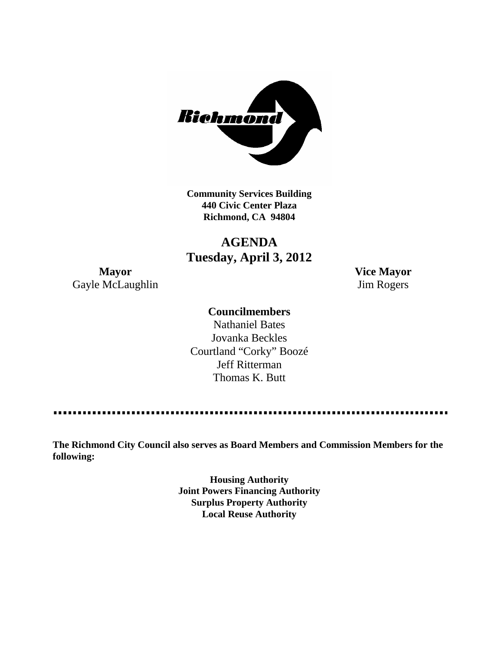

**Community Services Building 440 Civic Center Plaza Richmond, CA 94804**

**AGENDA Tuesday, April 3, 2012**

**Mayor Vice Mayor** Gayle McLaughlin Jim Rogers

#### **Councilmembers**

Nathaniel Bates Jovanka Beckles Courtland "Corky" Boozé Jeff Ritterman Thomas K. Butt

----------------

**The Richmond City Council also serves as Board Members and Commission Members for the following:**

> **Housing Authority Joint Powers Financing Authority Surplus Property Authority Local Reuse Authority**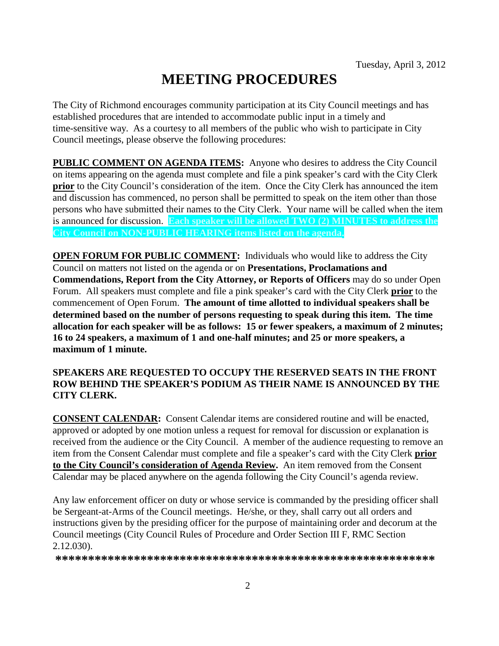# **MEETING PROCEDURES**

The City of Richmond encourages community participation at its City Council meetings and has established procedures that are intended to accommodate public input in a timely and time-sensitive way. As a courtesy to all members of the public who wish to participate in City Council meetings, please observe the following procedures:

**PUBLIC COMMENT ON AGENDA ITEMS:** Anyone who desires to address the City Council on items appearing on the agenda must complete and file a pink speaker's card with the City Clerk **prior** to the City Council's consideration of the item. Once the City Clerk has announced the item and discussion has commenced, no person shall be permitted to speak on the item other than those persons who have submitted their names to the City Clerk. Your name will be called when the item is announced for discussion. **Each speaker will be allowed TWO (2) MINUTES to address the City Council on NON-PUBLIC HEARING items listed on the agenda.**

**OPEN FORUM FOR PUBLIC COMMENT:** Individuals who would like to address the City Council on matters not listed on the agenda or on **Presentations, Proclamations and Commendations, Report from the City Attorney, or Reports of Officers** may do so under Open Forum. All speakers must complete and file a pink speaker's card with the City Clerk **prior** to the commencement of Open Forum. **The amount of time allotted to individual speakers shall be determined based on the number of persons requesting to speak during this item. The time allocation for each speaker will be as follows: 15 or fewer speakers, a maximum of 2 minutes; 16 to 24 speakers, a maximum of 1 and one-half minutes; and 25 or more speakers, a maximum of 1 minute.**

#### **SPEAKERS ARE REQUESTED TO OCCUPY THE RESERVED SEATS IN THE FRONT ROW BEHIND THE SPEAKER'S PODIUM AS THEIR NAME IS ANNOUNCED BY THE CITY CLERK.**

**CONSENT CALENDAR:** Consent Calendar items are considered routine and will be enacted, approved or adopted by one motion unless a request for removal for discussion or explanation is received from the audience or the City Council. A member of the audience requesting to remove an item from the Consent Calendar must complete and file a speaker's card with the City Clerk **prior to the City Council's consideration of Agenda Review.** An item removed from the Consent Calendar may be placed anywhere on the agenda following the City Council's agenda review.

Any law enforcement officer on duty or whose service is commanded by the presiding officer shall be Sergeant-at-Arms of the Council meetings. He/she, or they, shall carry out all orders and instructions given by the presiding officer for the purpose of maintaining order and decorum at the Council meetings (City Council Rules of Procedure and Order Section III F, RMC Section 2.12.030).

**\*\*\*\*\*\*\*\*\*\*\*\*\*\*\*\*\*\*\*\*\*\*\*\*\*\*\*\*\*\*\*\*\*\*\*\*\*\*\*\*\*\*\*\*\*\*\*\*\*\*\*\*\*\*\*\*\*\***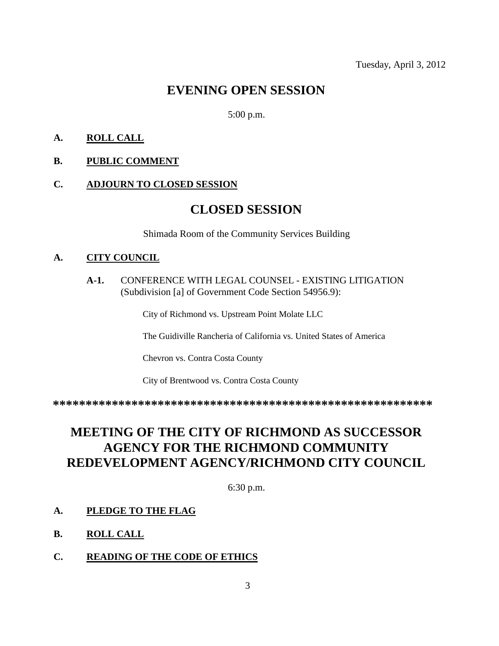## **EVENING OPEN SESSION**

#### 5:00 p.m.

#### **A. ROLL CALL**

**B. PUBLIC COMMENT**

#### **C. ADJOURN TO CLOSED SESSION**

### **CLOSED SESSION**

Shimada Room of the Community Services Building

#### **A. CITY COUNCIL**

**A-1.** CONFERENCE WITH LEGAL COUNSEL - EXISTING LITIGATION (Subdivision [a] of Government Code Section 54956.9):

City of Richmond vs. Upstream Point Molate LLC

The Guidiville Rancheria of California vs. United States of America

Chevron vs. Contra Costa County

City of Brentwood vs. Contra Costa County

**\*\*\*\*\*\*\*\*\*\*\*\*\*\*\*\*\*\*\*\*\*\*\*\*\*\*\*\*\*\*\*\*\*\*\*\*\*\*\*\*\*\*\*\*\*\*\*\*\*\*\*\*\*\*\*\*\*\***

# **MEETING OF THE CITY OF RICHMOND AS SUCCESSOR AGENCY FOR THE RICHMOND COMMUNITY REDEVELOPMENT AGENCY/RICHMOND CITY COUNCIL**

6:30 p.m.

#### **A. PLEDGE TO THE FLAG**

- **B. ROLL CALL**
- **C. READING OF THE CODE OF ETHICS**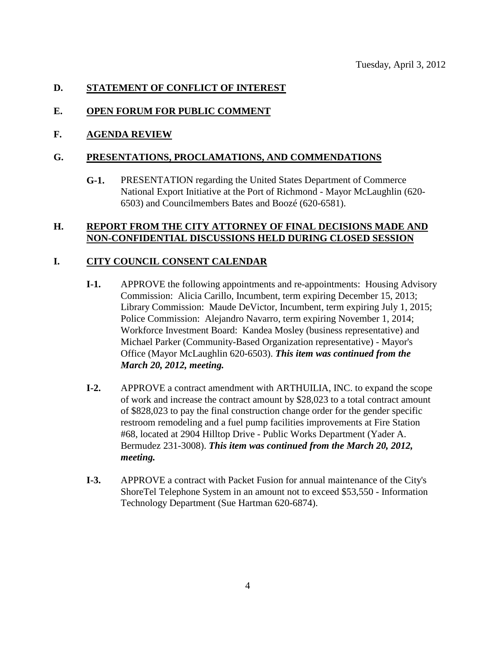#### **D. STATEMENT OF CONFLICT OF INTEREST**

#### **E. OPEN FORUM FOR PUBLIC COMMENT**

#### **F. AGENDA REVIEW**

#### **G. PRESENTATIONS, PROCLAMATIONS, AND COMMENDATIONS**

**G-1.** PRESENTATION regarding the United States Department of Commerce National Export Initiative at the Port of Richmond - Mayor McLaughlin (620- 6503) and Councilmembers Bates and Boozé (620-6581).

#### **H. REPORT FROM THE CITY ATTORNEY OF FINAL DECISIONS MADE AND NON-CONFIDENTIAL DISCUSSIONS HELD DURING CLOSED SESSION**

#### **I. CITY COUNCIL CONSENT CALENDAR**

- **I-1.** APPROVE the following appointments and re-appointments: Housing Advisory Commission: Alicia Carillo, Incumbent, term expiring December 15, 2013; Library Commission: Maude DeVictor, Incumbent, term expiring July 1, 2015; Police Commission: Alejandro Navarro, term expiring November 1, 2014; Workforce Investment Board: Kandea Mosley (business representative) and Michael Parker (Community-Based Organization representative) - Mayor's Office (Mayor McLaughlin 620-6503). *This item was continued from the March 20, 2012, meeting.*
- **I-2.** APPROVE a contract amendment with ARTHUILIA, INC. to expand the scope of work and increase the contract amount by \$28,023 to a total contract amount of \$828,023 to pay the final construction change order for the gender specific restroom remodeling and a fuel pump facilities improvements at Fire Station #68, located at 2904 Hilltop Drive - Public Works Department (Yader A. Bermudez 231-3008). *This item was continued from the March 20, 2012, meeting.*
- **I-3.** APPROVE a contract with Packet Fusion for annual maintenance of the City's ShoreTel Telephone System in an amount not to exceed \$53,550 - Information Technology Department (Sue Hartman 620-6874).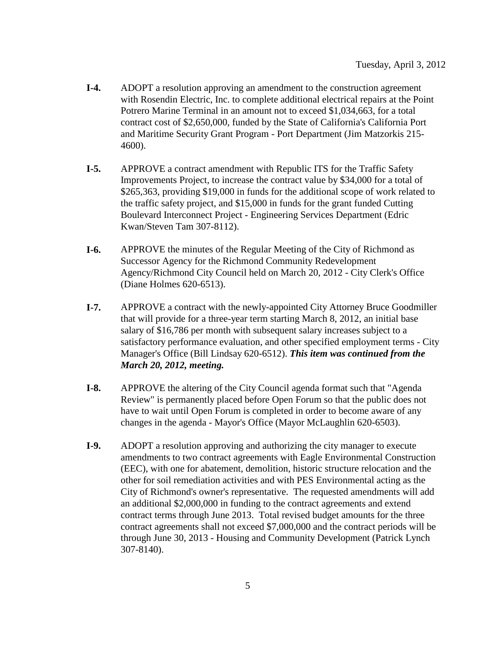- **I-4.** ADOPT a resolution approving an amendment to the construction agreement with Rosendin Electric, Inc. to complete additional electrical repairs at the Point Potrero Marine Terminal in an amount not to exceed \$1,034,663, for a total contract cost of \$2,650,000, funded by the State of California's California Port and Maritime Security Grant Program - Port Department (Jim Matzorkis 215- 4600).
- **I-5.** APPROVE a contract amendment with Republic ITS for the Traffic Safety Improvements Project, to increase the contract value by \$34,000 for a total of \$265,363, providing \$19,000 in funds for the additional scope of work related to the traffic safety project, and \$15,000 in funds for the grant funded Cutting Boulevard Interconnect Project - Engineering Services Department (Edric Kwan/Steven Tam 307-8112).
- **I-6.** APPROVE the minutes of the Regular Meeting of the City of Richmond as Successor Agency for the Richmond Community Redevelopment Agency/Richmond City Council held on March 20, 2012 - City Clerk's Office (Diane Holmes 620-6513).
- **I-7.** APPROVE a contract with the newly-appointed City Attorney Bruce Goodmiller that will provide for a three-year term starting March 8, 2012, an initial base salary of \$16,786 per month with subsequent salary increases subject to a satisfactory performance evaluation, and other specified employment terms - City Manager's Office (Bill Lindsay 620-6512). *This item was continued from the March 20, 2012, meeting.*
- **I-8.** APPROVE the altering of the City Council agenda format such that "Agenda Review" is permanently placed before Open Forum so that the public does not have to wait until Open Forum is completed in order to become aware of any changes in the agenda - Mayor's Office (Mayor McLaughlin 620-6503).
- **I-9.** ADOPT a resolution approving and authorizing the city manager to execute amendments to two contract agreements with Eagle Environmental Construction (EEC), with one for abatement, demolition, historic structure relocation and the other for soil remediation activities and with PES Environmental acting as the City of Richmond's owner's representative. The requested amendments will add an additional \$2,000,000 in funding to the contract agreements and extend contract terms through June 2013. Total revised budget amounts for the three contract agreements shall not exceed \$7,000,000 and the contract periods will be through June 30, 2013 - Housing and Community Development (Patrick Lynch 307-8140).